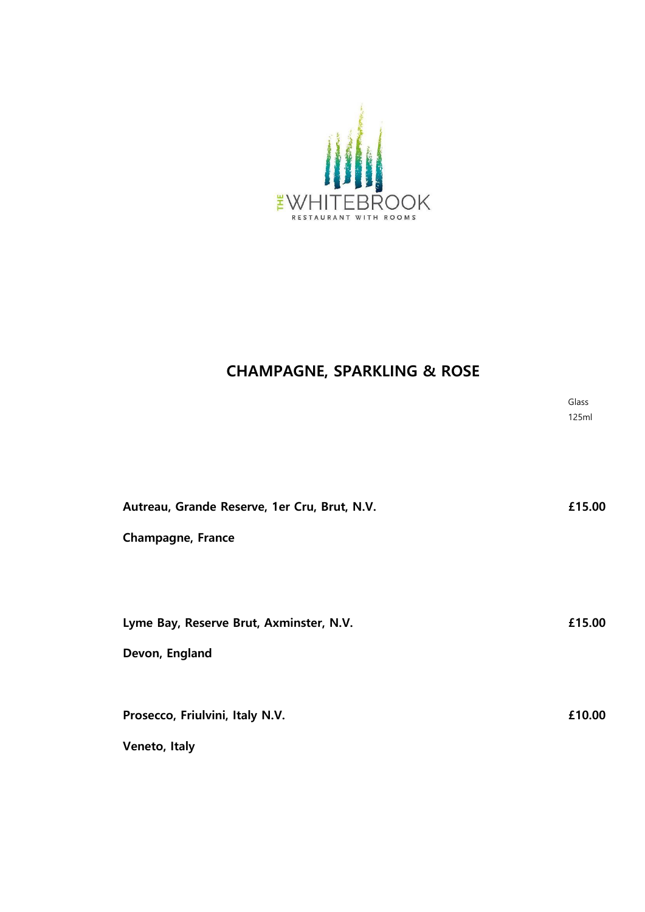

# **CHAMPAGNE, SPARKLING & ROSE**

**Glass**  $125<sub>m</sub>$ 

| Autreau, Grande Reserve, 1er Cru, Brut, N.V. | £15.00 |
|----------------------------------------------|--------|
| <b>Champagne, France</b>                     |        |
|                                              |        |
|                                              |        |
| Lyme Bay, Reserve Brut, Axminster, N.V.      | £15.00 |
| Devon, England                               |        |
|                                              |        |
| Prosecco, Friulvini, Italy N.V.              | £10.00 |
| Veneto, Italy                                |        |
|                                              |        |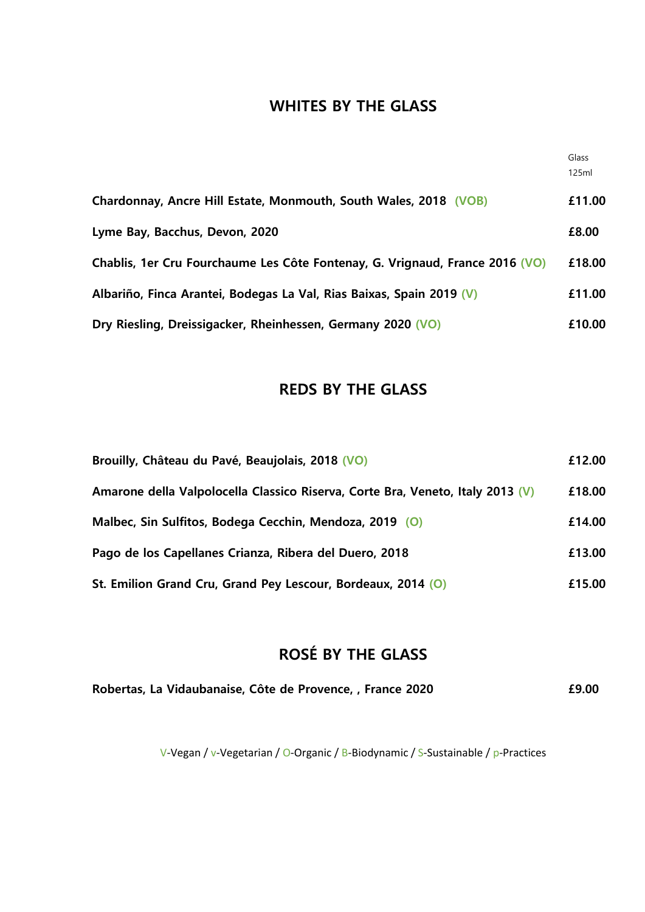## **WHITES BY THE GLASS**

|                                                                              | Glass<br>125ml |
|------------------------------------------------------------------------------|----------------|
| Chardonnay, Ancre Hill Estate, Monmouth, South Wales, 2018 (VOB)             | £11.00         |
| Lyme Bay, Bacchus, Devon, 2020                                               | £8.00          |
| Chablis, 1er Cru Fourchaume Les Côte Fontenay, G. Vrignaud, France 2016 (VO) | £18.00         |
| Albariño, Finca Arantei, Bodegas La Val, Rias Baixas, Spain 2019 (V)         | £11.00         |
| Dry Riesling, Dreissigacker, Rheinhessen, Germany 2020 (VO)                  | £10.00         |

## **REDS BY THE GLASS**

| Brouilly, Château du Pavé, Beaujolais, 2018 (VO)                               | £12.00 |
|--------------------------------------------------------------------------------|--------|
| Amarone della Valpolocella Classico Riserva, Corte Bra, Veneto, Italy 2013 (V) | £18.00 |
| Malbec, Sin Sulfitos, Bodega Cecchin, Mendoza, 2019 (O)                        | £14.00 |
| Pago de los Capellanes Crianza, Ribera del Duero, 2018                         | £13.00 |
| St. Emilion Grand Cru, Grand Pey Lescour, Bordeaux, 2014 (O)                   | £15.00 |

# **ROSÉ BY THE GLASS**

| Robertas, La Vidaubanaise, Côte de Provence, , France 2020 | £9.00 |
|------------------------------------------------------------|-------|
|------------------------------------------------------------|-------|

V-Vegan / v-Vegetarian / O-Organic / B-Biodynamic / S-Sustainable / p-Practices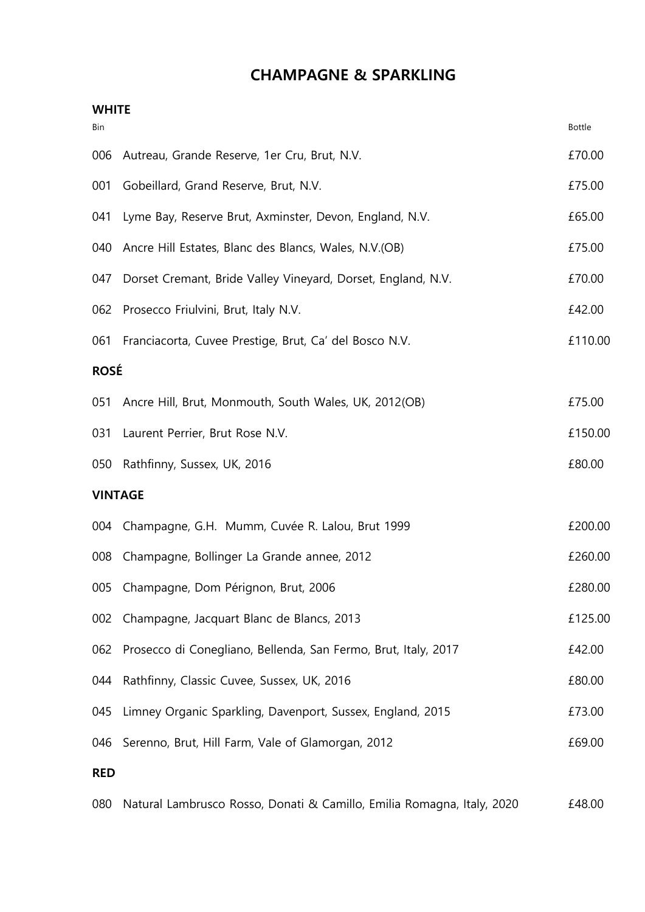## **CHAMPAGNE & SPARKLING**

| <b>WHITE</b> |                                                                        |               |
|--------------|------------------------------------------------------------------------|---------------|
| Bin          |                                                                        | <b>Bottle</b> |
| 006          | Autreau, Grande Reserve, 1er Cru, Brut, N.V.                           | £70.00        |
| 001          | Gobeillard, Grand Reserve, Brut, N.V.                                  | £75.00        |
| 041          | Lyme Bay, Reserve Brut, Axminster, Devon, England, N.V.                | £65.00        |
| 040          | Ancre Hill Estates, Blanc des Blancs, Wales, N.V.(OB)                  | £75.00        |
| 047          | Dorset Cremant, Bride Valley Vineyard, Dorset, England, N.V.           | £70.00        |
| 062          | Prosecco Friulvini, Brut, Italy N.V.                                   | £42.00        |
| 061          | Franciacorta, Cuvee Prestige, Brut, Ca' del Bosco N.V.                 | £110.00       |
| <b>ROSÉ</b>  |                                                                        |               |
| 051          | Ancre Hill, Brut, Monmouth, South Wales, UK, 2012(OB)                  | £75.00        |
| 031          | Laurent Perrier, Brut Rose N.V.                                        | £150.00       |
| 050          | Rathfinny, Sussex, UK, 2016                                            | £80.00        |
|              | <b>VINTAGE</b>                                                         |               |
|              | 004 Champagne, G.H. Mumm, Cuvée R. Lalou, Brut 1999                    | £200.00       |
| 008          | Champagne, Bollinger La Grande annee, 2012                             | £260.00       |
|              | 005 Champagne, Dom Pérignon, Brut, 2006                                | £280.00       |
| 002          | Champagne, Jacquart Blanc de Blancs, 2013                              | £125.00       |
| 062          | Prosecco di Conegliano, Bellenda, San Fermo, Brut, Italy, 2017         | £42.00        |
| 044          | Rathfinny, Classic Cuvee, Sussex, UK, 2016                             | £80.00        |
| 045          | Limney Organic Sparkling, Davenport, Sussex, England, 2015             | £73.00        |
| 046          | Serenno, Brut, Hill Farm, Vale of Glamorgan, 2012                      | £69.00        |
| <b>RED</b>   |                                                                        |               |
| 080          | Natural Lambrusco Rosso, Donati & Camillo, Emilia Romagna, Italy, 2020 | £48.00        |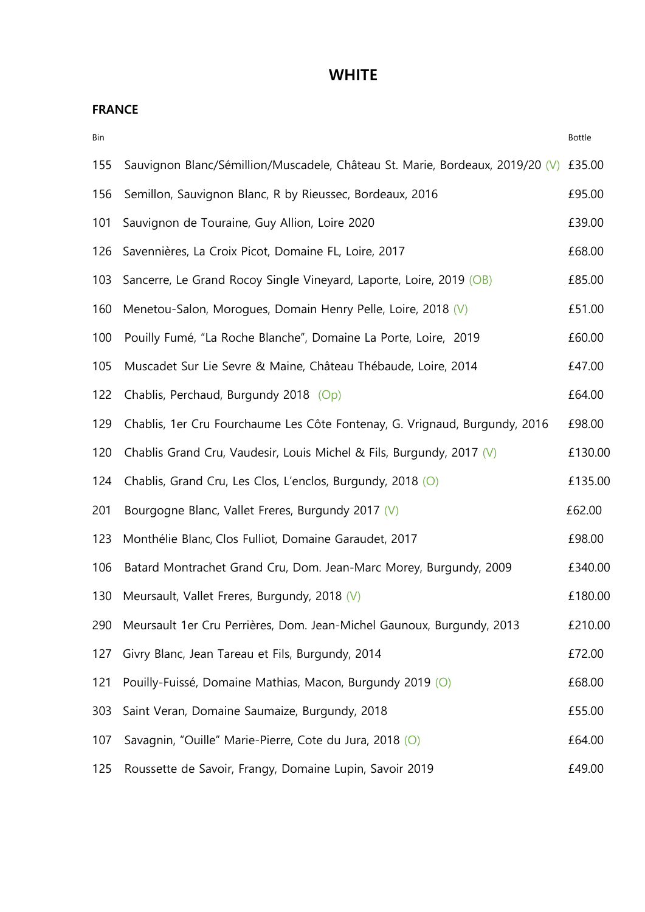## **WHITE**

**FRANCE** 

| Bin |                                                                               | Bottle  |
|-----|-------------------------------------------------------------------------------|---------|
| 155 | Sauvignon Blanc/Sémillion/Muscadele, Château St. Marie, Bordeaux, 2019/20 (V) | £35.00  |
| 156 | Semillon, Sauvignon Blanc, R by Rieussec, Bordeaux, 2016                      | £95.00  |
| 101 | Sauvignon de Touraine, Guy Allion, Loire 2020                                 | £39.00  |
| 126 | Savennières, La Croix Picot, Domaine FL, Loire, 2017                          | £68.00  |
| 103 | Sancerre, Le Grand Rocoy Single Vineyard, Laporte, Loire, 2019 (OB)           | £85.00  |
| 160 | Menetou-Salon, Morogues, Domain Henry Pelle, Loire, 2018 (V)                  | £51.00  |
| 100 | Pouilly Fumé, "La Roche Blanche", Domaine La Porte, Loire, 2019               | £60.00  |
| 105 | Muscadet Sur Lie Sevre & Maine, Château Thébaude, Loire, 2014                 | £47.00  |
| 122 | Chablis, Perchaud, Burgundy 2018 (Op)                                         | £64.00  |
| 129 | Chablis, 1er Cru Fourchaume Les Côte Fontenay, G. Vrignaud, Burgundy, 2016    | £98.00  |
| 120 | Chablis Grand Cru, Vaudesir, Louis Michel & Fils, Burgundy, 2017 (V)          | £130.00 |
| 124 | Chablis, Grand Cru, Les Clos, L'enclos, Burgundy, 2018 (O)                    | £135.00 |
| 201 | Bourgogne Blanc, Vallet Freres, Burgundy 2017 (V)                             | £62.00  |
| 123 | Monthélie Blanc, Clos Fulliot, Domaine Garaudet, 2017                         | £98.00  |
| 106 | Batard Montrachet Grand Cru, Dom. Jean-Marc Morey, Burgundy, 2009             | £340.00 |
| 130 | Meursault, Vallet Freres, Burgundy, 2018 (V)                                  | £180.00 |
| 290 | Meursault 1er Cru Perrières, Dom. Jean-Michel Gaunoux, Burgundy, 2013         | £210.00 |
| 127 | Givry Blanc, Jean Tareau et Fils, Burgundy, 2014                              | £72.00  |
| 121 | Pouilly-Fuissé, Domaine Mathias, Macon, Burgundy 2019 (O)                     | £68.00  |
| 303 | Saint Veran, Domaine Saumaize, Burgundy, 2018                                 | £55.00  |
| 107 | Savagnin, "Ouille" Marie-Pierre, Cote du Jura, 2018 (O)                       | £64.00  |
| 125 | Roussette de Savoir, Frangy, Domaine Lupin, Savoir 2019                       | £49.00  |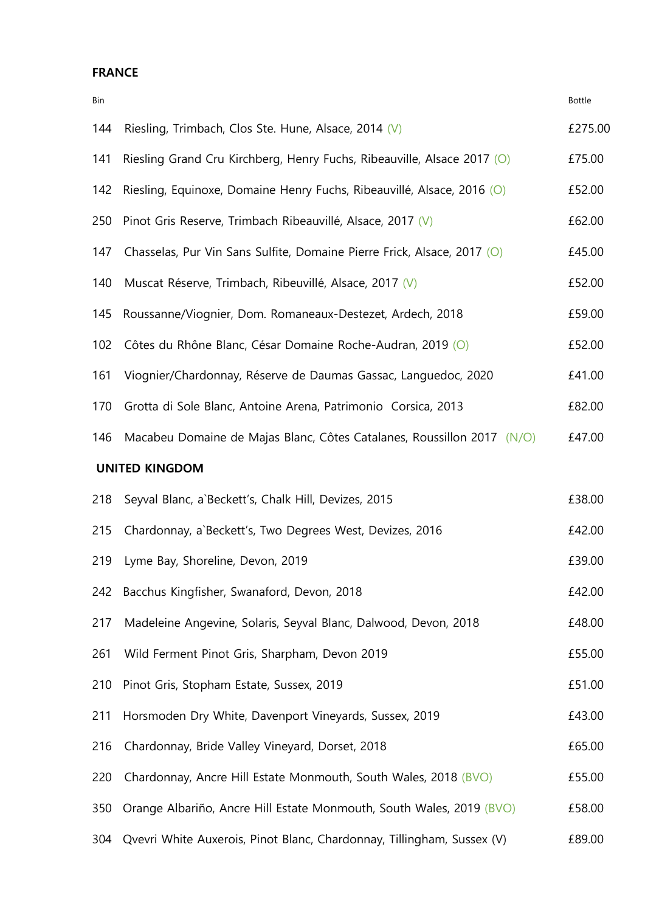### **FRANCE**

| Bin                   |                                                                         | <b>Bottle</b> |
|-----------------------|-------------------------------------------------------------------------|---------------|
| 144                   | Riesling, Trimbach, Clos Ste. Hune, Alsace, 2014 (V)                    | £275.00       |
| 141                   | Riesling Grand Cru Kirchberg, Henry Fuchs, Ribeauville, Alsace 2017 (O) | £75.00        |
| 142                   | Riesling, Equinoxe, Domaine Henry Fuchs, Ribeauvillé, Alsace, 2016 (O)  | £52.00        |
| 250                   | Pinot Gris Reserve, Trimbach Ribeauvillé, Alsace, 2017 (V)              | £62.00        |
| 147                   | Chasselas, Pur Vin Sans Sulfite, Domaine Pierre Frick, Alsace, 2017 (O) | £45.00        |
| 140                   | Muscat Réserve, Trimbach, Ribeuvillé, Alsace, 2017 (V)                  | £52.00        |
| 145                   | Roussanne/Viognier, Dom. Romaneaux-Destezet, Ardech, 2018               | £59.00        |
| 102                   | Côtes du Rhône Blanc, César Domaine Roche-Audran, 2019 (O)              | £52.00        |
| 161                   | Viognier/Chardonnay, Réserve de Daumas Gassac, Languedoc, 2020          | £41.00        |
| 170                   | Grotta di Sole Blanc, Antoine Arena, Patrimonio Corsica, 2013           | £82.00        |
| 146                   | Macabeu Domaine de Majas Blanc, Côtes Catalanes, Roussillon 2017 (N/O)  | £47.00        |
| <b>UNITED KINGDOM</b> |                                                                         |               |
| 218                   | Seyval Blanc, a`Beckett's, Chalk Hill, Devizes, 2015                    | £38.00        |
| 215                   | Chardonnay, a Beckett's, Two Degrees West, Devizes, 2016                | £42.00        |
| 219                   | Lyme Bay, Shoreline, Devon, 2019                                        | £39.00        |
| 242                   | Bacchus Kingfisher, Swanaford, Devon, 2018                              | £42.00        |
| 217                   | Madeleine Angevine, Solaris, Seyval Blanc, Dalwood, Devon, 2018         | £48.00        |
| 261                   | Wild Ferment Pinot Gris, Sharpham, Devon 2019                           | £55.00        |
| 210                   | Pinot Gris, Stopham Estate, Sussex, 2019                                | £51.00        |
| 211                   | Horsmoden Dry White, Davenport Vineyards, Sussex, 2019                  | £43.00        |
| 216                   | Chardonnay, Bride Valley Vineyard, Dorset, 2018                         | £65.00        |
| 220                   | Chardonnay, Ancre Hill Estate Monmouth, South Wales, 2018 (BVO)         | £55.00        |
| 350                   | Orange Albariño, Ancre Hill Estate Monmouth, South Wales, 2019 (BVO)    | £58.00        |
| 304                   | Qvevri White Auxerois, Pinot Blanc, Chardonnay, Tillingham, Sussex (V)  | £89.00        |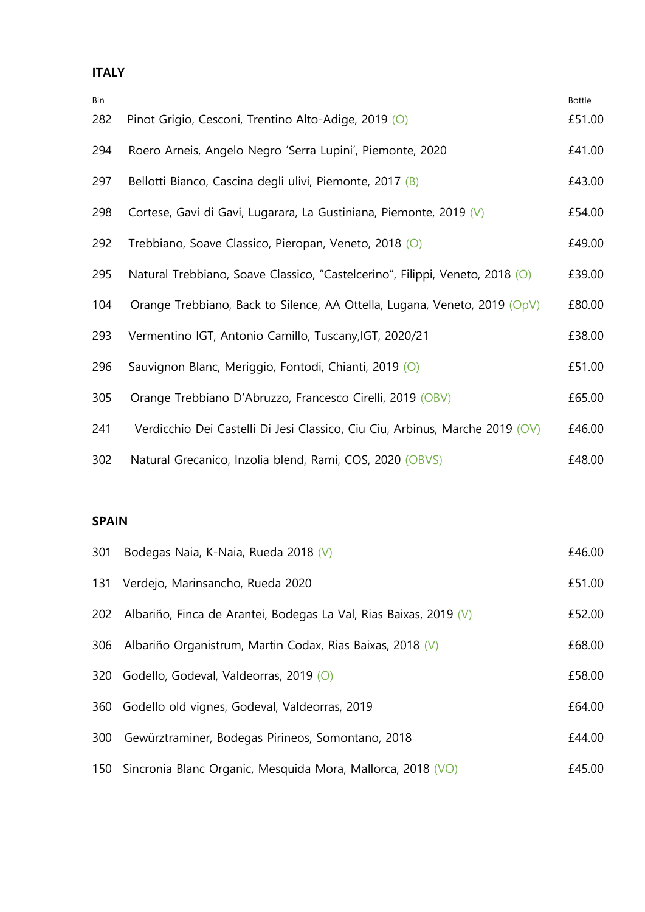## **ITALY**

| Bin |                                                                              | <b>Bottle</b> |
|-----|------------------------------------------------------------------------------|---------------|
| 282 | Pinot Grigio, Cesconi, Trentino Alto-Adige, 2019 (O)                         | £51.00        |
| 294 | Roero Arneis, Angelo Negro 'Serra Lupini', Piemonte, 2020                    | £41.00        |
| 297 | Bellotti Bianco, Cascina degli ulivi, Piemonte, 2017 (B)                     | £43.00        |
| 298 | Cortese, Gavi di Gavi, Lugarara, La Gustiniana, Piemonte, 2019 (V)           | £54.00        |
| 292 | Trebbiano, Soave Classico, Pieropan, Veneto, 2018 (O)                        | £49.00        |
| 295 | Natural Trebbiano, Soave Classico, "Castelcerino", Filippi, Veneto, 2018 (O) | £39.00        |
| 104 | Orange Trebbiano, Back to Silence, AA Ottella, Lugana, Veneto, 2019 (OpV)    | £80.00        |
| 293 | Vermentino IGT, Antonio Camillo, Tuscany, IGT, 2020/21                       | £38.00        |
| 296 | Sauvignon Blanc, Meriggio, Fontodi, Chianti, 2019 (O)                        | £51.00        |
| 305 | Orange Trebbiano D'Abruzzo, Francesco Cirelli, 2019 (OBV)                    | £65.00        |
| 241 | Verdicchio Dei Castelli Di Jesi Classico, Ciu Ciu, Arbinus, Marche 2019 (OV) | £46.00        |
| 302 | Natural Grecanico, Inzolia blend, Rami, COS, 2020 (OBVS)                     | £48.00        |

## **SPAIN**

| 301 | Bodegas Naia, K-Naia, Rueda 2018 (V)                              | £46.00 |
|-----|-------------------------------------------------------------------|--------|
| 131 | Verdejo, Marinsancho, Rueda 2020                                  | £51.00 |
| 202 | Albariño, Finca de Arantei, Bodegas La Val, Rias Baixas, 2019 (V) | £52.00 |
| 306 | Albariño Organistrum, Martin Codax, Rias Baixas, 2018 (V)         | £68.00 |
| 320 | Godello, Godeval, Valdeorras, 2019 (O)                            | £58.00 |
| 360 | Godello old vignes, Godeval, Valdeorras, 2019                     | £64.00 |
| 300 | Gewürztraminer, Bodegas Pirineos, Somontano, 2018                 | £44.00 |
| 150 | Sincronia Blanc Organic, Mesquida Mora, Mallorca, 2018 (VO)       | £45.00 |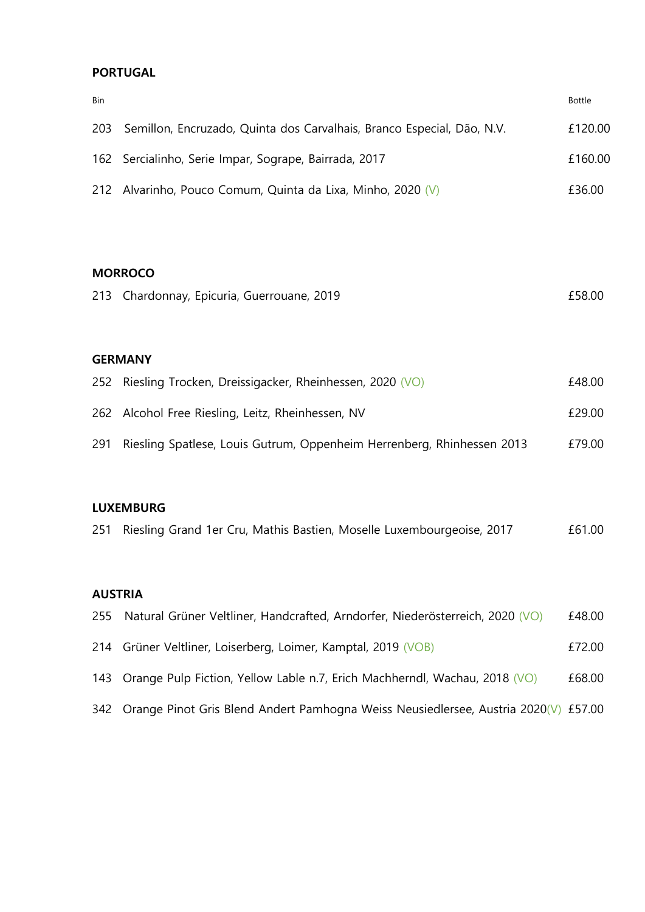### **PORTUGAL**

| Bin |                                                                        | <b>Bottle</b> |  |  |
|-----|------------------------------------------------------------------------|---------------|--|--|
| 203 | Semillon, Encruzado, Quinta dos Carvalhais, Branco Especial, Dão, N.V. | £120.00       |  |  |
|     | 162 Sercialinho, Serie Impar, Sogrape, Bairrada, 2017                  | £160.00       |  |  |
| 212 | Alvarinho, Pouco Comum, Quinta da Lixa, Minho, 2020 (V)                | £36.00        |  |  |
|     |                                                                        |               |  |  |
|     |                                                                        |               |  |  |
|     | <b>MORROCO</b>                                                         |               |  |  |

| 213 Chardonnay, Epicuria, Guerrouane, 2019 | £58.00 |
|--------------------------------------------|--------|
|                                            |        |

## **GERMANY**

|     | 252 Riesling Trocken, Dreissigacker, Rheinhessen, 2020 (VO)            | £48.00 |
|-----|------------------------------------------------------------------------|--------|
|     | 262 Alcohol Free Riesling, Leitz, Rheinhessen, NV                      | £29.00 |
| 291 | Riesling Spatlese, Louis Gutrum, Oppenheim Herrenberg, Rhinhessen 2013 | £79.00 |

## **LUXEMBURG**

| 251 Riesling Grand 1er Cru, Mathis Bastien, Moselle Luxembourgeoise, 2017 | £61.00 |
|---------------------------------------------------------------------------|--------|
|---------------------------------------------------------------------------|--------|

#### **AUSTRIA**

| 255 Natural Grüner Veltliner, Handcrafted, Arndorfer, Niederösterreich, 2020 (VO)       | £48.00 |
|-----------------------------------------------------------------------------------------|--------|
| 214 Grüner Veltliner, Loiserberg, Loimer, Kamptal, 2019 (VOB)                           | £72.00 |
| 143 Orange Pulp Fiction, Yellow Lable n.7, Erich Machherndl, Wachau, 2018 (VO)          | £68.00 |
| 342 Orange Pinot Gris Blend Andert Pamhogna Weiss Neusiedlersee, Austria 2020(V) £57.00 |        |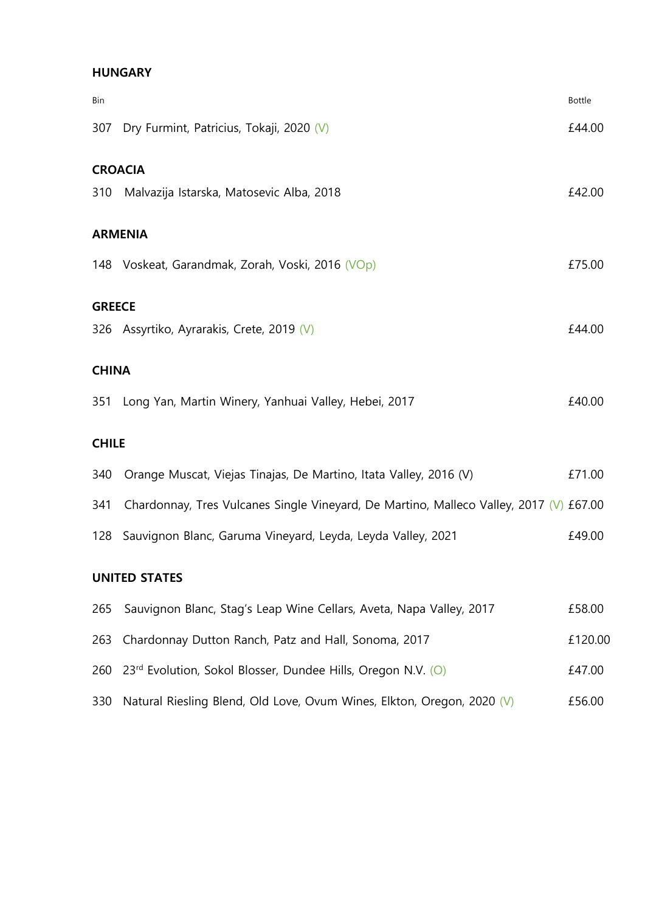### **HUNGARY**

| Bin           |                                                                                        | <b>Bottle</b> |
|---------------|----------------------------------------------------------------------------------------|---------------|
| 307           | Dry Furmint, Patricius, Tokaji, 2020 (V)                                               | £44.00        |
|               | <b>CROACIA</b>                                                                         |               |
| 310           | Malvazija Istarska, Matosevic Alba, 2018                                               | £42.00        |
|               | <b>ARMENIA</b>                                                                         |               |
|               | 148 Voskeat, Garandmak, Zorah, Voski, 2016 (VOp)                                       | £75.00        |
| <b>GREECE</b> |                                                                                        |               |
|               | 326 Assyrtiko, Ayrarakis, Crete, 2019 (V)                                              | £44.00        |
|               |                                                                                        |               |
| <b>CHINA</b>  |                                                                                        |               |
| 351           | Long Yan, Martin Winery, Yanhuai Valley, Hebei, 2017                                   | £40.00        |
| <b>CHILE</b>  |                                                                                        |               |
| 340           | Orange Muscat, Viejas Tinajas, De Martino, Itata Valley, 2016 (V)                      | £71.00        |
| 341           | Chardonnay, Tres Vulcanes Single Vineyard, De Martino, Malleco Valley, 2017 (V) £67.00 |               |
|               | 128 Sauvignon Blanc, Garuma Vineyard, Leyda, Leyda Valley, 2021                        | £49.00        |
|               | <b>UNITED STATES</b>                                                                   |               |
| 265           | Sauvignon Blanc, Stag's Leap Wine Cellars, Aveta, Napa Valley, 2017                    | £58.00        |
|               | 263 Chardonnay Dutton Ranch, Patz and Hall, Sonoma, 2017                               | £120.00       |

- 260 23<sup>rd</sup> Evolution, Sokol Blosser, Dundee Hills, Oregon N.V. (O) 647.00
- 330 Natural Riesling Blend, Old Love, Ovum Wines, Elkton, Oregon, 2020 (V) 656.00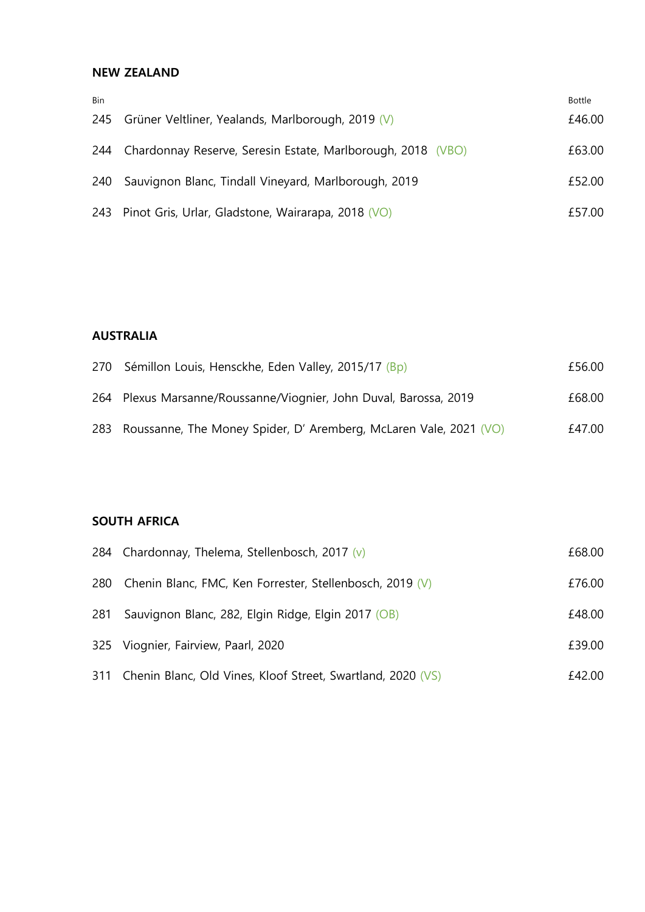#### **NEW ZEALAND**

| <b>Bin</b> |                                                             | Bottle |
|------------|-------------------------------------------------------------|--------|
|            | 245 Grüner Veltliner, Yealands, Marlborough, 2019 (V)       | £46.00 |
| 244        | Chardonnay Reserve, Seresin Estate, Marlborough, 2018 (VBO) | £63.00 |
| 240        | Sauvignon Blanc, Tindall Vineyard, Marlborough, 2019        | £52.00 |
|            | 243 Pinot Gris, Urlar, Gladstone, Wairarapa, 2018 (VO)      | £57.00 |

#### **AUSTRALIA**

| 270 Sémillon Louis, Hensckhe, Eden Valley, 2015/17 (Bp)               | £56.00 |
|-----------------------------------------------------------------------|--------|
| 264 Plexus Marsanne/Roussanne/Viognier, John Duval, Barossa, 2019     | £68.00 |
| 283 Roussanne, The Money Spider, D' Aremberg, McLaren Vale, 2021 (VO) | £47.00 |

#### **SOUTH AFRICA**

|     | 284 Chardonnay, Thelema, Stellenbosch, 2017 $(v)$               | £68.00 |
|-----|-----------------------------------------------------------------|--------|
|     | 280 Chenin Blanc, FMC, Ken Forrester, Stellenbosch, 2019 (V)    | £76.00 |
| 281 | Sauvignon Blanc, 282, Elgin Ridge, Elgin 2017 (OB)              | £48.00 |
|     | 325 Viognier, Fairview, Paarl, 2020                             | £39.00 |
|     | 311 Chenin Blanc, Old Vines, Kloof Street, Swartland, 2020 (VS) | £42.00 |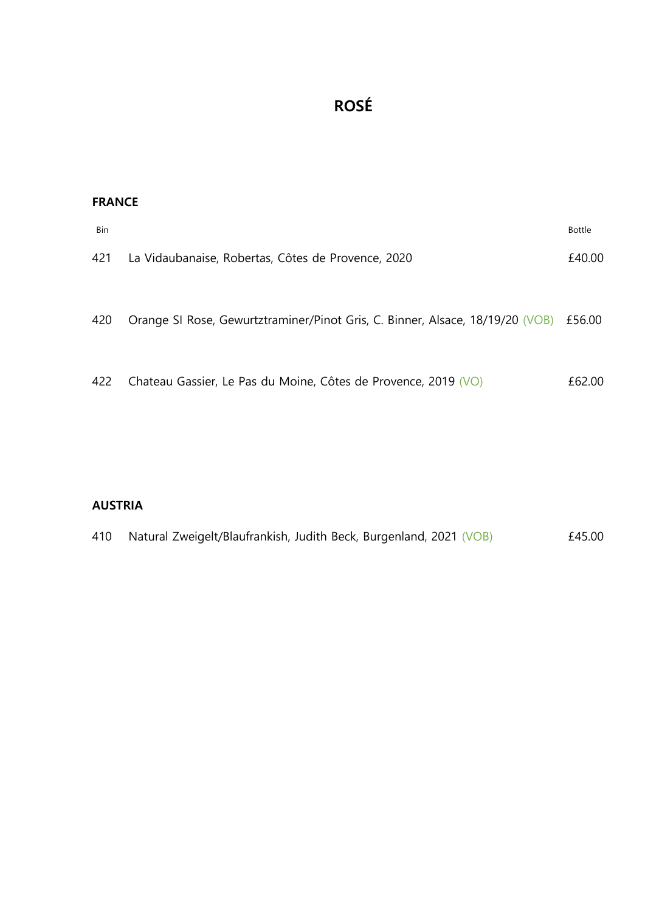# **ROSÉ**

| <b>FRANCE</b> |                                                                                      |               |
|---------------|--------------------------------------------------------------------------------------|---------------|
| Bin           |                                                                                      | <b>Bottle</b> |
| 421           | La Vidaubanaise, Robertas, Côtes de Provence, 2020                                   | £40.00        |
| 420           | Orange SI Rose, Gewurtztraminer/Pinot Gris, C. Binner, Alsace, 18/19/20 (VOB) £56.00 |               |
| 422           | Chateau Gassier, Le Pas du Moine, Côtes de Provence, 2019 (VO)                       | £62.00        |

## **AUSTRIA**

| 410 | Natural Zweigelt/Blaufrankish, Judith Beck, Burgenland, 2021 (VOB) |  |  | £45.00 |
|-----|--------------------------------------------------------------------|--|--|--------|
|-----|--------------------------------------------------------------------|--|--|--------|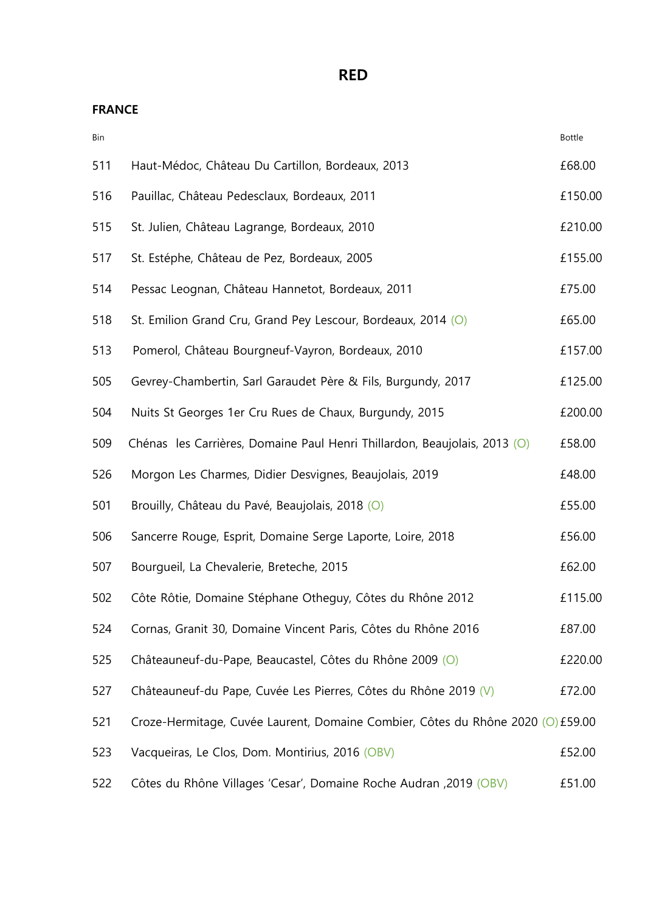**RED** 

| Bin |                                                                                 | Bottle  |
|-----|---------------------------------------------------------------------------------|---------|
| 511 | Haut-Médoc, Château Du Cartillon, Bordeaux, 2013                                | £68.00  |
| 516 | Pauillac, Château Pedesclaux, Bordeaux, 2011                                    | £150.00 |
| 515 | St. Julien, Château Lagrange, Bordeaux, 2010                                    | £210.00 |
| 517 | St. Estéphe, Château de Pez, Bordeaux, 2005                                     | £155.00 |
| 514 | Pessac Leognan, Château Hannetot, Bordeaux, 2011                                | £75.00  |
| 518 | St. Emilion Grand Cru, Grand Pey Lescour, Bordeaux, 2014 (O)                    | £65.00  |
| 513 | Pomerol, Château Bourgneuf-Vayron, Bordeaux, 2010                               | £157.00 |
| 505 | Gevrey-Chambertin, Sarl Garaudet Père & Fils, Burgundy, 2017                    | £125.00 |
| 504 | Nuits St Georges 1er Cru Rues de Chaux, Burgundy, 2015                          | £200.00 |
| 509 | Chénas les Carrières, Domaine Paul Henri Thillardon, Beaujolais, 2013 (O)       | £58.00  |
| 526 | Morgon Les Charmes, Didier Desvignes, Beaujolais, 2019                          | £48.00  |
| 501 | Brouilly, Château du Pavé, Beaujolais, 2018 (O)                                 | £55.00  |
| 506 | Sancerre Rouge, Esprit, Domaine Serge Laporte, Loire, 2018                      | £56.00  |
| 507 | Bourgueil, La Chevalerie, Breteche, 2015                                        | £62.00  |
| 502 | Côte Rôtie, Domaine Stéphane Otheguy, Côtes du Rhône 2012                       | £115.00 |
| 524 | Cornas, Granit 30, Domaine Vincent Paris, Côtes du Rhône 2016                   | £87.00  |
| 525 | Châteauneuf-du-Pape, Beaucastel, Côtes du Rhône 2009 (O)                        | £220.00 |
| 527 | Châteauneuf-du Pape, Cuvée Les Pierres, Côtes du Rhône 2019 (V)                 | £72.00  |
| 521 | Croze-Hermitage, Cuvée Laurent, Domaine Combier, Côtes du Rhône 2020 (O) £59.00 |         |
| 523 | Vacqueiras, Le Clos, Dom. Montirius, 2016 (OBV)                                 | £52.00  |
| 522 | Côtes du Rhône Villages 'Cesar', Domaine Roche Audran, 2019 (OBV)               | £51.00  |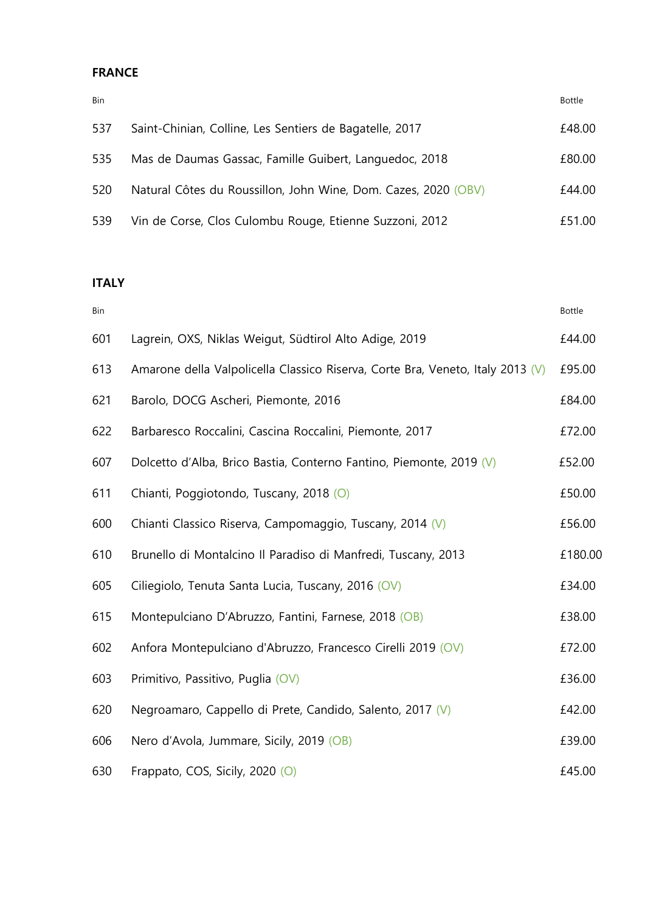## **FRANCE**

| <b>Bin</b> |                                                                | Bottle |
|------------|----------------------------------------------------------------|--------|
| 537        | Saint-Chinian, Colline, Les Sentiers de Bagatelle, 2017        | £48.00 |
| 535        | Mas de Daumas Gassac, Famille Guibert, Languedoc, 2018         | £80.00 |
| 520        | Natural Côtes du Roussillon, John Wine, Dom. Cazes, 2020 (OBV) | £44.00 |
| 539        | Vin de Corse, Clos Culombu Rouge, Etienne Suzzoni, 2012        | £51.00 |

## **ITALY**

| Bin |                                                                                | <b>Bottle</b> |
|-----|--------------------------------------------------------------------------------|---------------|
| 601 | Lagrein, OXS, Niklas Weigut, Südtirol Alto Adige, 2019                         | £44.00        |
| 613 | Amarone della Valpolicella Classico Riserva, Corte Bra, Veneto, Italy 2013 (V) | £95.00        |
| 621 | Barolo, DOCG Ascheri, Piemonte, 2016                                           | £84.00        |
| 622 | Barbaresco Roccalini, Cascina Roccalini, Piemonte, 2017                        | £72.00        |
| 607 | Dolcetto d'Alba, Brico Bastia, Conterno Fantino, Piemonte, 2019 (V)            | £52.00        |
| 611 | Chianti, Poggiotondo, Tuscany, 2018 (O)                                        | £50.00        |
| 600 | Chianti Classico Riserva, Campomaggio, Tuscany, 2014 (V)                       | £56.00        |
| 610 | Brunello di Montalcino Il Paradiso di Manfredi, Tuscany, 2013                  | £180.00       |
| 605 | Ciliegiolo, Tenuta Santa Lucia, Tuscany, 2016 (OV)                             | £34.00        |
| 615 | Montepulciano D'Abruzzo, Fantini, Farnese, 2018 (OB)                           | £38.00        |
| 602 | Anfora Montepulciano d'Abruzzo, Francesco Cirelli 2019 (OV)                    | £72.00        |
| 603 | Primitivo, Passitivo, Puglia (OV)                                              | £36.00        |
| 620 | Negroamaro, Cappello di Prete, Candido, Salento, 2017 (V)                      | £42.00        |
| 606 | Nero d'Avola, Jummare, Sicily, 2019 (OB)                                       | £39.00        |
| 630 | Frappato, COS, Sicily, 2020 (O)                                                | £45.00        |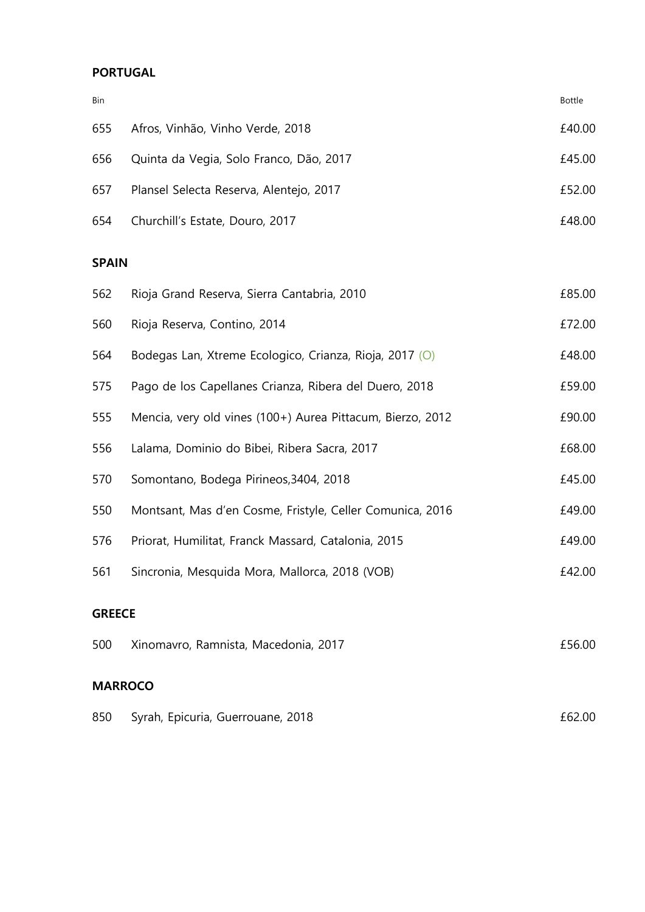## **PORTUGAL**

| <b>Bin</b> |                                         | Bottle |
|------------|-----------------------------------------|--------|
| 655        | Afros, Vinhão, Vinho Verde, 2018        | £40.00 |
| 656        | Quinta da Vegia, Solo Franco, Dão, 2017 | £45.00 |
| 657        | Plansel Selecta Reserva, Alentejo, 2017 | £52.00 |
| 654        | Churchill's Estate, Douro, 2017         | £48.00 |

#### **SPAIN**

| 562           | Rioja Grand Reserva, Sierra Cantabria, 2010                | £85.00 |
|---------------|------------------------------------------------------------|--------|
| 560           | Rioja Reserva, Contino, 2014                               | £72.00 |
| 564           | Bodegas Lan, Xtreme Ecologico, Crianza, Rioja, 2017 (O)    | £48.00 |
| 575           | Pago de los Capellanes Crianza, Ribera del Duero, 2018     | £59.00 |
| 555           | Mencia, very old vines (100+) Aurea Pittacum, Bierzo, 2012 | £90.00 |
| 556           | Lalama, Dominio do Bibei, Ribera Sacra, 2017               | £68.00 |
| 570           | Somontano, Bodega Pirineos, 3404, 2018                     | £45.00 |
| 550           | Montsant, Mas d'en Cosme, Fristyle, Celler Comunica, 2016  | £49.00 |
| 576           | Priorat, Humilitat, Franck Massard, Catalonia, 2015        | £49.00 |
| 561           | Sincronia, Mesquida Mora, Mallorca, 2018 (VOB)             | £42.00 |
| <b>GREECE</b> |                                                            |        |

| 500 | Xinomavro, Ramnista, Macedonia, 2017 | £56.00 |
|-----|--------------------------------------|--------|
|     |                                      |        |

## **MARROCO**

| 850 | Syrah, Epicuria, Guerrouane, 2018 | £62.00 |
|-----|-----------------------------------|--------|
|-----|-----------------------------------|--------|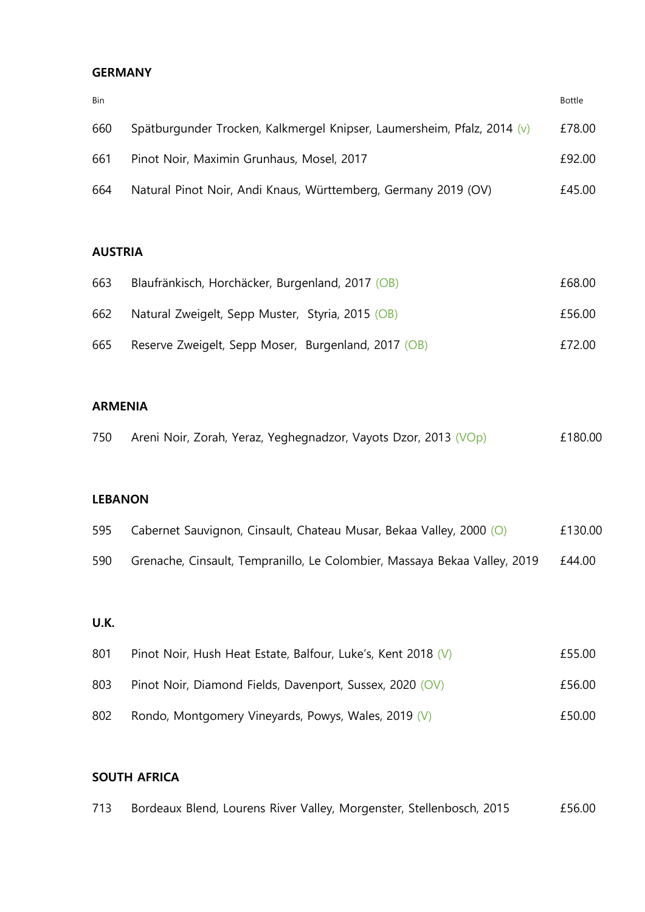#### **GERMANY**

| Bin |                                                                         | Bottle |
|-----|-------------------------------------------------------------------------|--------|
| 660 | Spätburgunder Trocken, Kalkmergel Knipser, Laumersheim, Pfalz, 2014 (v) | £78.00 |
| 661 | Pinot Noir, Maximin Grunhaus, Mosel, 2017                               | £92.00 |
| 664 | Natural Pinot Noir, Andi Knaus, Württemberg, Germany 2019 (OV)          | £45.00 |

#### **AUSTRIA**

| 663 | Blaufränkisch, Horchäcker, Burgenland, 2017 (OB)    | £68.00 |
|-----|-----------------------------------------------------|--------|
| 662 | Natural Zweigelt, Sepp Muster, Styria, 2015 (OB)    | £56.00 |
| 665 | Reserve Zweigelt, Sepp Moser, Burgenland, 2017 (OB) | £72.00 |

#### **ARMENIA**

| 750 |  |  | Areni Noir, Zorah, Yeraz, Yeghegnadzor, Vayots Dzor, 2013 (VOp) | £180.00 |
|-----|--|--|-----------------------------------------------------------------|---------|
|-----|--|--|-----------------------------------------------------------------|---------|

#### **LEBANON**

| 595 | Cabernet Sauvignon, Cinsault, Chateau Musar, Bekaa Valley, 2000 (O)       | £130.00 |
|-----|---------------------------------------------------------------------------|---------|
| 590 | Grenache, Cinsault, Tempranillo, Le Colombier, Massaya Bekaa Valley, 2019 | £44.00  |

#### **U.K.**

| 801 | Pinot Noir, Hush Heat Estate, Balfour, Luke's, Kent 2018 (V) | £55.00 |
|-----|--------------------------------------------------------------|--------|
| 803 | Pinot Noir, Diamond Fields, Davenport, Sussex, 2020 (OV)     | £56.00 |
| 802 | Rondo, Montgomery Vineyards, Powys, Wales, 2019 (V)          | £50.00 |

## **SOUTH AFRICA**

| 713 | Bordeaux Blend, Lourens River Valley, Morgenster, Stellenbosch, 2015 |  |  | £56.00 |
|-----|----------------------------------------------------------------------|--|--|--------|
|     |                                                                      |  |  |        |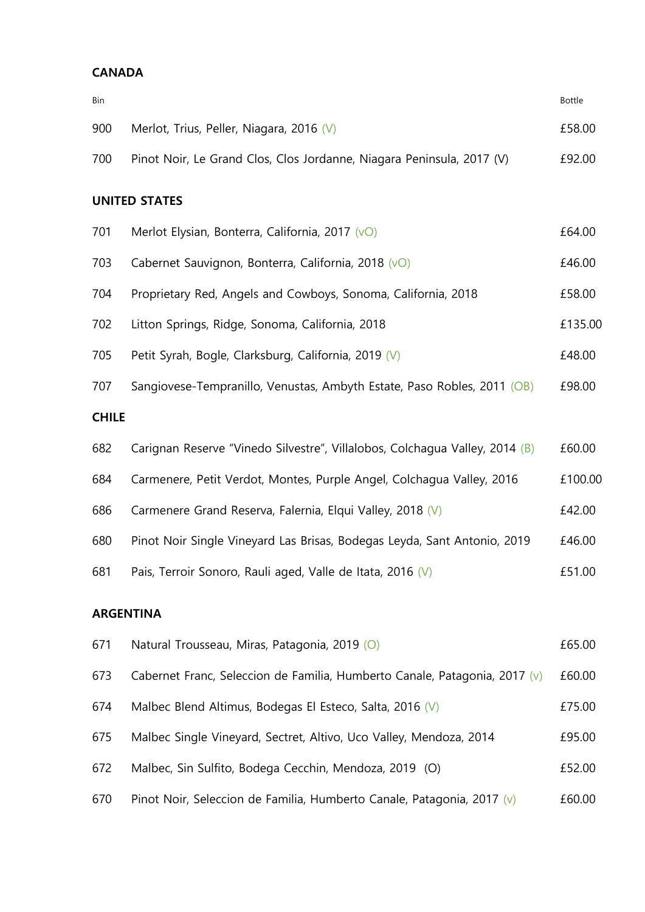#### **CANADA**

| Bin          |                                                                             | <b>Bottle</b> |
|--------------|-----------------------------------------------------------------------------|---------------|
| 900          | Merlot, Trius, Peller, Niagara, 2016 (V)                                    | £58.00        |
| 700          | Pinot Noir, Le Grand Clos, Clos Jordanne, Niagara Peninsula, 2017 (V)       | £92.00        |
|              | <b>UNITED STATES</b>                                                        |               |
| 701          | Merlot Elysian, Bonterra, California, 2017 (vO)                             | £64.00        |
| 703          | Cabernet Sauvignon, Bonterra, California, 2018 (vO)                         | £46.00        |
| 704          | Proprietary Red, Angels and Cowboys, Sonoma, California, 2018               | £58.00        |
| 702          | Litton Springs, Ridge, Sonoma, California, 2018                             | £135.00       |
| 705          | Petit Syrah, Bogle, Clarksburg, California, 2019 (V)                        | £48.00        |
| 707          | Sangiovese-Tempranillo, Venustas, Ambyth Estate, Paso Robles, 2011 (OB)     | £98.00        |
| <b>CHILE</b> |                                                                             |               |
| 682          | Carignan Reserve "Vinedo Silvestre", Villalobos, Colchagua Valley, 2014 (B) | £60.00        |
| 684          | Carmenere, Petit Verdot, Montes, Purple Angel, Colchagua Valley, 2016       | £100.00       |
| 686          | Carmenere Grand Reserva, Falernia, Elqui Valley, 2018 (V)                   | £42.00        |
| 680          | Pinot Noir Single Vineyard Las Brisas, Bodegas Leyda, Sant Antonio, 2019    | £46.00        |
| 681          | Pais, Terroir Sonoro, Rauli aged, Valle de Itata, 2016 (V)                  | £51.00        |
|              | <b>ARGENTINA</b>                                                            |               |
| 671          | Natural Trousseau, Miras, Patagonia, 2019 (O)                               | £65.00        |
| 673          | Cabernet Franc, Seleccion de Familia, Humberto Canale, Patagonia, 2017 (v)  | £60.00        |

674 Malbec Blend Altimus, Bodegas El Esteco, Salta, 2016 (V) 674 1675.00 675 Malbec Single Vineyard, Sectret, Altivo, Uco Valley, Mendoza, 2014 £95.00

- 672 Malbec, Sin Sulfito, Bodega Cecchin, Mendoza, 2019 (O) £52.00
- 670 Pinot Noir, Seleccion de Familia, Humberto Canale, Patagonia, 2017 (v) £60.00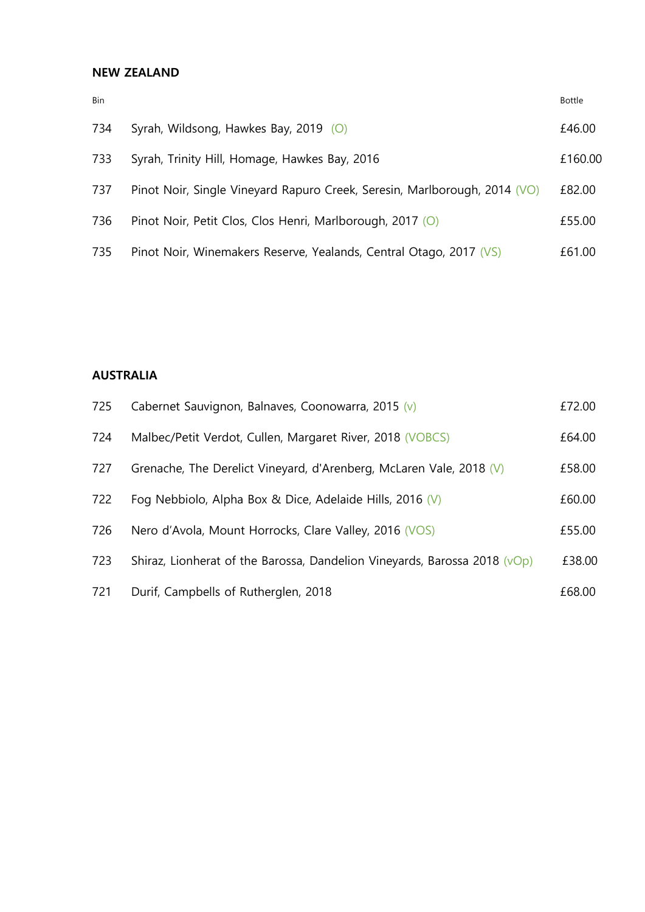#### **NEW ZEALAND**

| Bin |                                                                           | <b>Bottle</b> |
|-----|---------------------------------------------------------------------------|---------------|
| 734 | Syrah, Wildsong, Hawkes Bay, 2019 (O)                                     | £46.00        |
| 733 | Syrah, Trinity Hill, Homage, Hawkes Bay, 2016                             | £160.00       |
| 737 | Pinot Noir, Single Vineyard Rapuro Creek, Seresin, Marlborough, 2014 (VO) | £82.00        |
| 736 | Pinot Noir, Petit Clos, Clos Henri, Marlborough, 2017 (O)                 | £55.00        |
| 735 | Pinot Noir, Winemakers Reserve, Yealands, Central Otago, 2017 (VS)        | £61.00        |

### **AUSTRALIA**

| 725 | Cabernet Sauvignon, Balnaves, Coonowarra, 2015 (v)                                  | £72.00 |
|-----|-------------------------------------------------------------------------------------|--------|
| 724 | Malbec/Petit Verdot, Cullen, Margaret River, 2018 (VOBCS)                           | £64.00 |
| 727 | Grenache, The Derelict Vineyard, d'Arenberg, McLaren Vale, 2018 (V)                 | £58.00 |
| 722 | Fog Nebbiolo, Alpha Box & Dice, Adelaide Hills, 2016 (V)                            | £60.00 |
| 726 | Nero d'Avola, Mount Horrocks, Clare Valley, 2016 (VOS)                              | £55.00 |
| 723 | Shiraz, Lionherat of the Barossa, Dandelion Vineyards, Barossa 2018 ( $\sqrt{Op}$ ) | £38.00 |
| 721 | Durif, Campbells of Rutherglen, 2018                                                | £68.00 |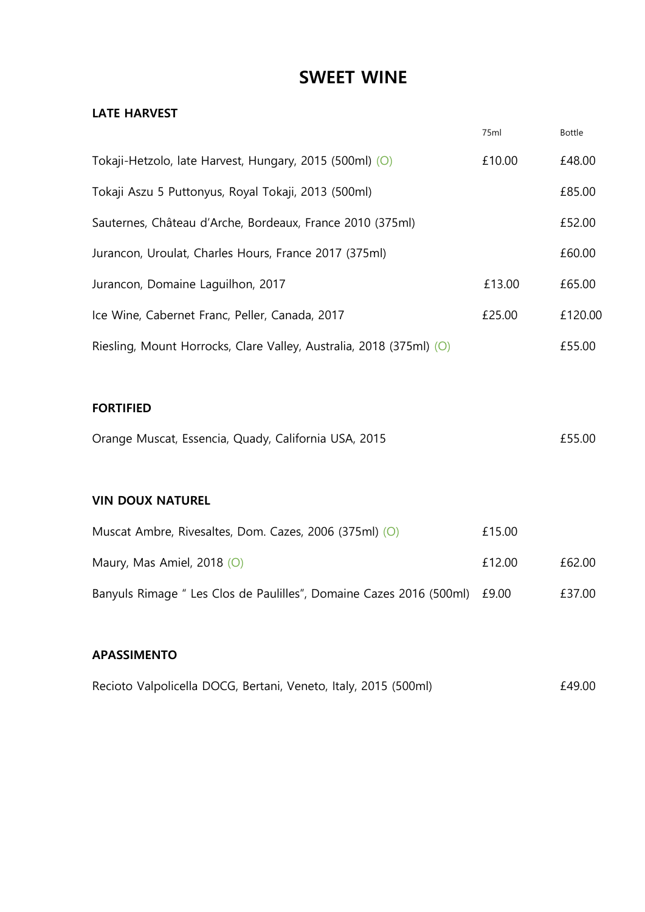# **SWEET WINE**

#### **LATE HARVEST**

|                                                                     | 75ml   | <b>Bottle</b> |
|---------------------------------------------------------------------|--------|---------------|
| Tokaji-Hetzolo, late Harvest, Hungary, 2015 (500ml) (O)             | £10.00 | £48.00        |
| Tokaji Aszu 5 Puttonyus, Royal Tokaji, 2013 (500ml)                 |        | £85.00        |
| Sauternes, Château d'Arche, Bordeaux, France 2010 (375ml)           |        | £52.00        |
| Jurancon, Uroulat, Charles Hours, France 2017 (375ml)               |        | £60.00        |
| Jurancon, Domaine Laguilhon, 2017                                   | £13.00 | £65.00        |
| Ice Wine, Cabernet Franc, Peller, Canada, 2017                      | £25.00 | £120.00       |
| Riesling, Mount Horrocks, Clare Valley, Australia, 2018 (375ml) (O) |        | £55.00        |
|                                                                     |        |               |

#### **FORTIFIED**

| Orange Muscat, Essencia, Quady, California USA, 2015 |  | £55.00 |
|------------------------------------------------------|--|--------|
|------------------------------------------------------|--|--------|

### **VIN DOUX NATUREL**

| Muscat Ambre, Rivesaltes, Dom. Cazes, 2006 (375ml) (O)                    | £15.00 |        |
|---------------------------------------------------------------------------|--------|--------|
| Maury, Mas Amiel, 2018 $(O)$                                              | £12.00 | £62.00 |
| Banyuls Rimage " Les Clos de Paulilles", Domaine Cazes 2016 (500ml) £9.00 |        | £37.00 |

#### **APASSIMENTO**

|  |  | Recioto Valpolicella DOCG, Bertani, Veneto, Italy, 2015 (500ml) |  |  | £49.00 |
|--|--|-----------------------------------------------------------------|--|--|--------|
|--|--|-----------------------------------------------------------------|--|--|--------|